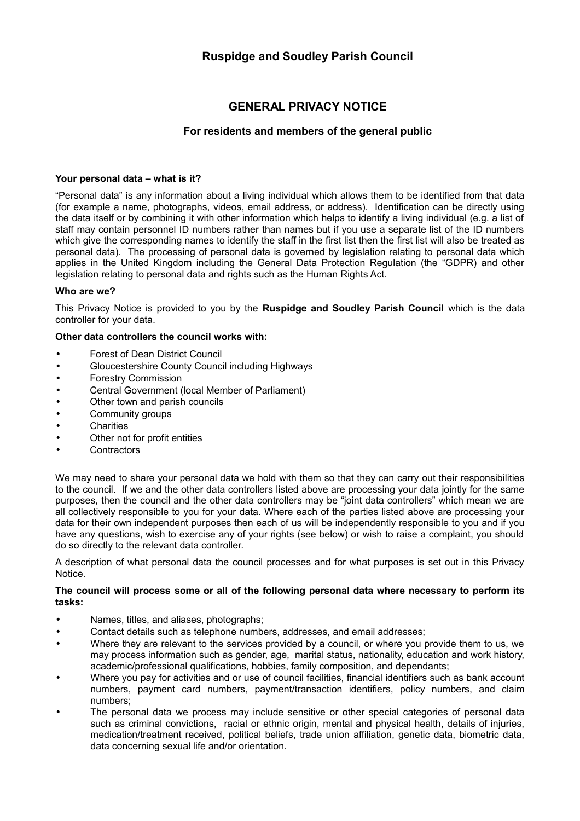# **GENERAL PRIVACY NOTICE**

# **For residents and members of the general public**

# **Your personal data – what is it?**

"Personal data" is any information about a living individual which allows them to be identified from that data (for example a name, photographs, videos, email address, or address). Identification can be directly using the data itself or by combining it with other information which helps to identify a living individual (e.g. a list of staff may contain personnel ID numbers rather than names but if you use a separate list of the ID numbers which give the corresponding names to identify the staff in the first list then the first list will also be treated as personal data). The processing of personal data is governed by legislation relating to personal data which applies in the United Kingdom including the General Data Protection Regulation (the "GDPR) and other legislation relating to personal data and rights such as the Human Rights Act.

## **Who are we?**

This Privacy Notice is provided to you by the **Ruspidge and Soudley Parish Council** which is the data controller for your data.

## **Other data controllers the council works with:**

- Forest of Dean District Council
- Gloucestershire County Council including Highways
- Forestry Commission
- Central Government (local Member of Parliament)
- Other town and parish councils
- Community groups
- **Charities**
- Other not for profit entities
- **Contractors**

We may need to share your personal data we hold with them so that they can carry out their responsibilities to the council. If we and the other data controllers listed above are processing your data jointly for the same purposes, then the council and the other data controllers may be "joint data controllers" which mean we are all collectively responsible to you for your data. Where each of the parties listed above are processing your data for their own independent purposes then each of us will be independently responsible to you and if you have any questions, wish to exercise any of your rights (see below) or wish to raise a complaint, you should do so directly to the relevant data controller.

A description of what personal data the council processes and for what purposes is set out in this Privacy Notice.

## **The council will process some or all of the following personal data where necessary to perform its tasks:**

- Names, titles, and aliases, photographs;
- Contact details such as telephone numbers, addresses, and email addresses;
- Where they are relevant to the services provided by a council, or where you provide them to us, we may process information such as gender, age, marital status, nationality, education and work history, academic/professional qualifications, hobbies, family composition, and dependants;
- Where you pay for activities and or use of council facilities, financial identifiers such as bank account numbers, payment card numbers, payment/transaction identifiers, policy numbers, and claim numbers;
- The personal data we process may include sensitive or other special categories of personal data such as criminal convictions, racial or ethnic origin, mental and physical health, details of injuries, medication/treatment received, political beliefs, trade union affiliation, genetic data, biometric data, data concerning sexual life and/or orientation.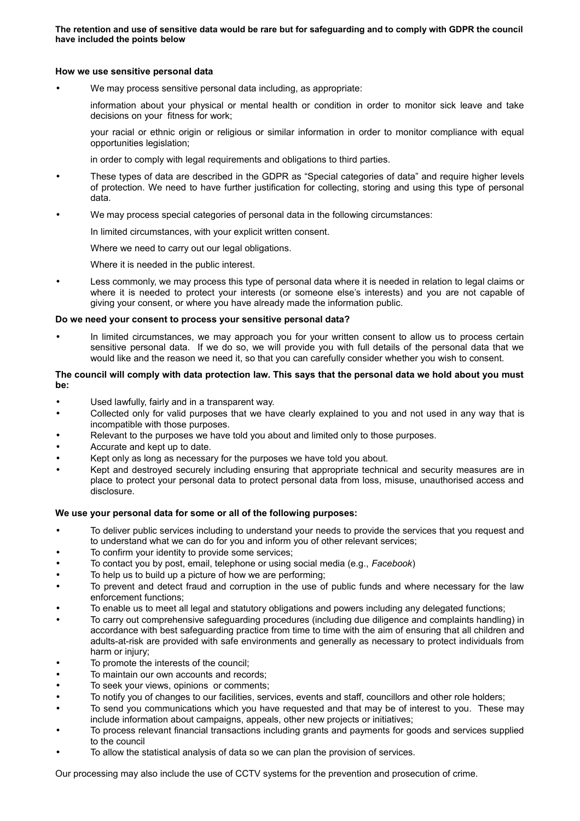**The retention and use of sensitive data would be rare but for safeguarding and to comply with GDPR the council have included the points below** 

## **How we use sensitive personal data**

We may process sensitive personal data including, as appropriate:

information about your physical or mental health or condition in order to monitor sick leave and take decisions on your fitness for work;

your racial or ethnic origin or religious or similar information in order to monitor compliance with equal opportunities legislation;

in order to comply with legal requirements and obligations to third parties.

- These types of data are described in the GDPR as "Special categories of data" and require higher levels of protection. We need to have further justification for collecting, storing and using this type of personal data.
- We may process special categories of personal data in the following circumstances:

In limited circumstances, with your explicit written consent.

Where we need to carry out our legal obligations.

Where it is needed in the public interest.

• Less commonly, we may process this type of personal data where it is needed in relation to legal claims or where it is needed to protect your interests (or someone else's interests) and you are not capable of giving your consent, or where you have already made the information public.

## **Do we need your consent to process your sensitive personal data?**

In limited circumstances, we may approach you for your written consent to allow us to process certain sensitive personal data. If we do so, we will provide you with full details of the personal data that we would like and the reason we need it, so that you can carefully consider whether you wish to consent.

## **The council will comply with data protection law. This says that the personal data we hold about you must be:**

- Used lawfully, fairly and in a transparent way.
- Collected only for valid purposes that we have clearly explained to you and not used in any way that is incompatible with those purposes.
- Relevant to the purposes we have told you about and limited only to those purposes.
- Accurate and kept up to date.
- Kept only as long as necessary for the purposes we have told you about.
- Kept and destroyed securely including ensuring that appropriate technical and security measures are in place to protect your personal data to protect personal data from loss, misuse, unauthorised access and disclosure.

## **We use your personal data for some or all of the following purposes:**

- To deliver public services including to understand your needs to provide the services that you request and to understand what we can do for you and inform you of other relevant services;
- To confirm your identity to provide some services;
- To contact you by post, email, telephone or using social media (e.g., *Facebook*)
- To help us to build up a picture of how we are performing;
- To prevent and detect fraud and corruption in the use of public funds and where necessary for the law enforcement functions;
- To enable us to meet all legal and statutory obligations and powers including any delegated functions;
- To carry out comprehensive safeguarding procedures (including due diligence and complaints handling) in accordance with best safeguarding practice from time to time with the aim of ensuring that all children and adults-at-risk are provided with safe environments and generally as necessary to protect individuals from harm or injury;
- To promote the interests of the council:
- To maintain our own accounts and records;
- To seek your views, opinions or comments;
- To notify you of changes to our facilities, services, events and staff, councillors and other role holders;
- To send you communications which you have requested and that may be of interest to you. These may include information about campaigns, appeals, other new projects or initiatives;
- To process relevant financial transactions including grants and payments for goods and services supplied to the council
- To allow the statistical analysis of data so we can plan the provision of services.

Our processing may also include the use of CCTV systems for the prevention and prosecution of crime.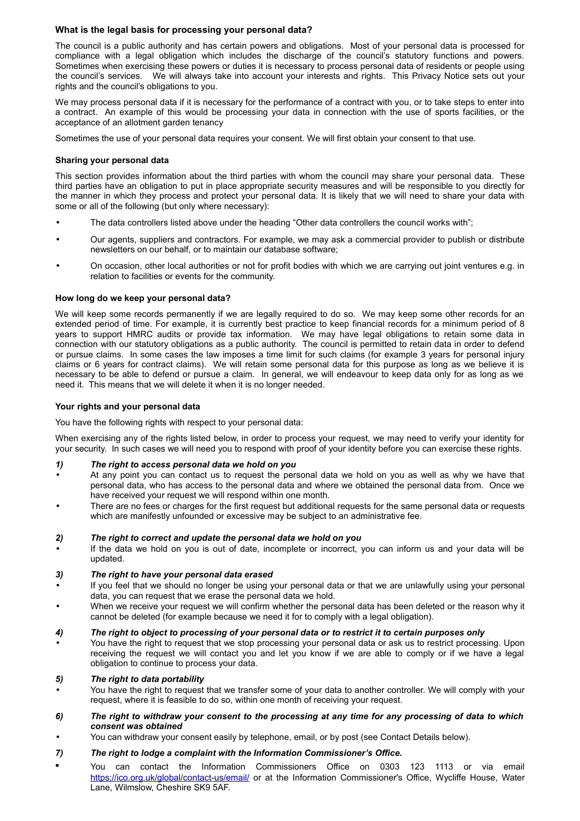## **What is the legal basis for processing your personal data?**

The council is a public authority and has certain powers and obligations. Most of your personal data is processed for compliance with a legal obligation which includes the discharge of the council's statutory functions and powers. Sometimes when exercising these powers or duties it is necessary to process personal data of residents or people using the council's services. We will always take into account your interests and rights. This Privacy Notice sets out your rights and the council's obligations to you.

We may process personal data if it is necessary for the performance of a contract with you, or to take steps to enter into a contract. An example of this would be processing your data in connection with the use of sports facilities, or the acceptance of an allotment garden tenancy

Sometimes the use of your personal data requires your consent. We will first obtain your consent to that use.

## **Sharing your personal data**

This section provides information about the third parties with whom the council may share your personal data. These third parties have an obligation to put in place appropriate security measures and will be responsible to you directly for the manner in which they process and protect your personal data. It is likely that we will need to share your data with some or all of the following (but only where necessary):

- The data controllers listed above under the heading "Other data controllers the council works with";
- Our agents, suppliers and contractors. For example, we may ask a commercial provider to publish or distribute newsletters on our behalf, or to maintain our database software;
- On occasion, other local authorities or not for profit bodies with which we are carrying out joint ventures e.g. in relation to facilities or events for the community.

## **How long do we keep your personal data?**

We will keep some records permanently if we are legally required to do so. We may keep some other records for an extended period of time. For example, it is currently best practice to keep financial records for a minimum period of 8 years to support HMRC audits or provide tax information. We may have legal obligations to retain some data in connection with our statutory obligations as a public authority. The council is permitted to retain data in order to defend or pursue claims. In some cases the law imposes a time limit for such claims (for example 3 years for personal injury claims or 6 years for contract claims). We will retain some personal data for this purpose as long as we believe it is necessary to be able to defend or pursue a claim. In general, we will endeavour to keep data only for as long as we need it. This means that we will delete it when it is no longer needed.

## **Your rights and your personal data**

You have the following rights with respect to your personal data:

When exercising any of the rights listed below, in order to process your request, we may need to verify your identity for your security. In such cases we will need you to respond with proof of your identity before you can exercise these rights.

- *1) The right to access personal data we hold on you*
- At any point you can contact us to request the personal data we hold on you as well as why we have that personal data, who has access to the personal data and where we obtained the personal data from. Once we have received your request we will respond within one month.
- There are no fees or charges for the first request but additional requests for the same personal data or requests which are manifestly unfounded or excessive may be subject to an administrative fee.

## *2) The right to correct and update the personal data we hold on you*

• If the data we hold on you is out of date, incomplete or incorrect, you can inform us and your data will be updated.

## *3) The right to have your personal data erased*

- If you feel that we should no longer be using your personal data or that we are unlawfully using your personal data, you can request that we erase the personal data we hold.
- When we receive your request we will confirm whether the personal data has been deleted or the reason why it cannot be deleted (for example because we need it for to comply with a legal obligation).

## *4) The right to object to processing of your personal data or to restrict it to certain purposes only*

• You have the right to request that we stop processing your personal data or ask us to restrict processing. Upon receiving the request we will contact you and let you know if we are able to comply or if we have a legal obligation to continue to process your data.

## *5) The right to data portability*

- You have the right to request that we transfer some of your data to another controller. We will comply with your request, where it is feasible to do so, within one month of receiving your request.
- *6) The right to withdraw your consent to the processing at any time for any processing of data to which consent was obtained*
- You can withdraw your consent easily by telephone, email, or by post (see Contact Details below).

## *7) The right to lodge a complaint with the Information Commissioner's Office.*

• You can contact the Information Commissioners Office on 0303 123 1113 or via email <https://ico.org.uk/global/contact-us/email/>or at the Information Commissioner's Office, Wycliffe House, Water Lane, Wilmslow, Cheshire SK9 5AF.